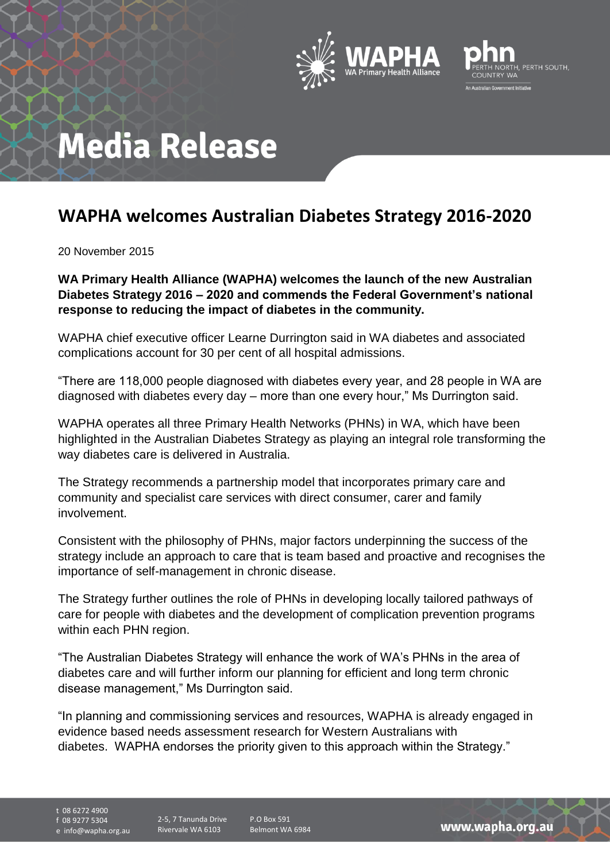



## **Media Release**

## **WAPHA welcomes Australian Diabetes Strategy 2016-2020**

20 November 2015

**WA Primary Health Alliance (WAPHA) welcomes the launch of the new Australian Diabetes Strategy 2016 – 2020 and commends the Federal Government's national response to reducing the impact of diabetes in the community.**

WAPHA chief executive officer Learne Durrington said in WA diabetes and associated complications account for 30 per cent of all hospital admissions.

"There are 118,000 people diagnosed with diabetes every year, and 28 people in WA are diagnosed with diabetes every day – more than one every hour," Ms Durrington said.

WAPHA operates all three Primary Health Networks (PHNs) in WA, which have been highlighted in the Australian Diabetes Strategy as playing an integral role transforming the way diabetes care is delivered in Australia.

The Strategy recommends a partnership model that incorporates primary care and community and specialist care services with direct consumer, carer and family involvement.

Consistent with the philosophy of PHNs, major factors underpinning the success of the strategy include an approach to care that is team based and proactive and recognises the importance of self-management in chronic disease.

The Strategy further outlines the role of PHNs in developing locally tailored pathways of care for people with diabetes and the development of complication prevention programs within each PHN region.

"The Australian Diabetes Strategy will enhance the work of WA's PHNs in the area of diabetes care and will further inform our planning for efficient and long term chronic disease management," Ms Durrington said.

"In planning and commissioning services and resources, WAPHA is already engaged in evidence based needs assessment research for Western Australians with diabetes. WAPHA endorses the priority given to this approach within the Strategy."

t 08 6272 4900 f 08 9277 5304

e info@wapha.org.au

2-5, 7 Tanunda Drive Rivervale WA 6103

P.O Box 591 Belmont WA 6984

www.wapha.org.au